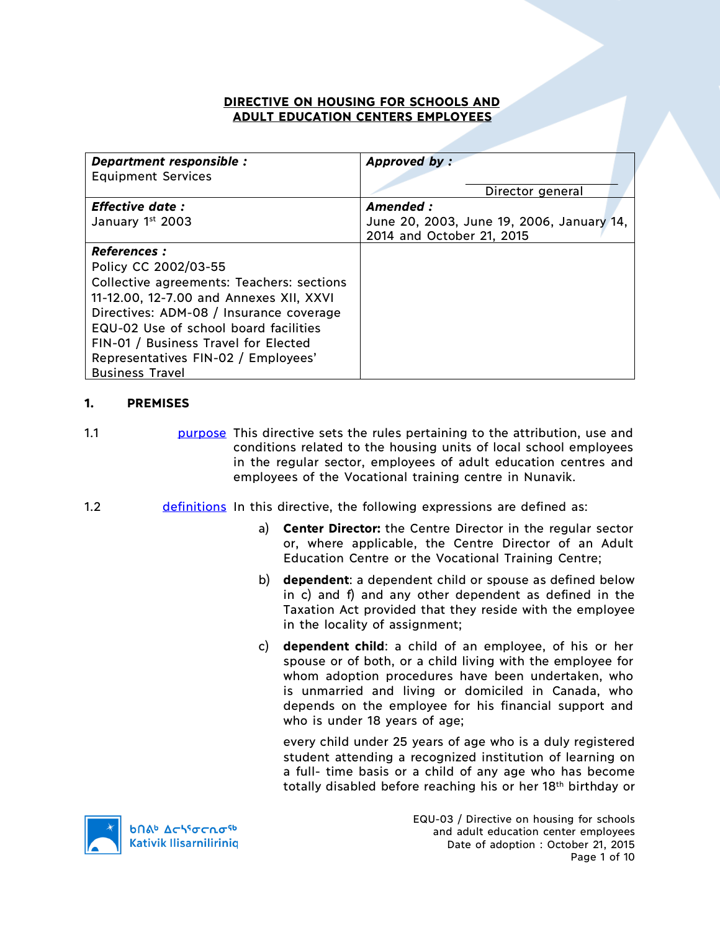### **DIRECTIVE ON HOUSING FOR SCHOOLS AND ADULT EDUCATION CENTERS EMPLOYEES**

| Department responsible :                  | Approved by:                              |
|-------------------------------------------|-------------------------------------------|
| <b>Equipment Services</b>                 |                                           |
|                                           | Director general                          |
| <b>Effective date:</b>                    | Amended :                                 |
| January 1st 2003                          | June 20, 2003, June 19, 2006, January 14, |
|                                           | 2014 and October 21, 2015                 |
| <b>References :</b>                       |                                           |
| Policy CC 2002/03-55                      |                                           |
| Collective agreements: Teachers: sections |                                           |
| 11-12.00, 12-7.00 and Annexes XII, XXVI   |                                           |
| Directives: ADM-08 / Insurance coverage   |                                           |
| EQU-02 Use of school board facilities     |                                           |
| FIN-01 / Business Travel for Elected      |                                           |
| Representatives FIN-02 / Employees'       |                                           |
| <b>Business Travel</b>                    |                                           |

# **1. PREMISES**

1.1 **purpose** This directive sets the rules pertaining to the attribution, use and conditions related to the housing units of local school employees in the regular sector, employees of adult education centres and employees of the Vocational training centre in Nunavik.

- 1.2 definitions In this directive, the following expressions are defined as:
	- a) **Center Director:** the Centre Director in the regular sector or, where applicable, the Centre Director of an Adult Education Centre or the Vocational Training Centre;
	- b) **dependent**: a dependent child or spouse as defined below in c) and f) and any other dependent as defined in the Taxation Act provided that they reside with the employee in the locality of assignment;
	- c) **dependent child**: a child of an employee, of his or her spouse or of both, or a child living with the employee for whom adoption procedures have been undertaken, who is unmarried and living or domiciled in Canada, who depends on the employee for his financial support and who is under 18 years of age;

every child under 25 years of age who is a duly registered student attending a recognized institution of learning on a full- time basis or a child of any age who has become totally disabled before reaching his or her 18th birthday or

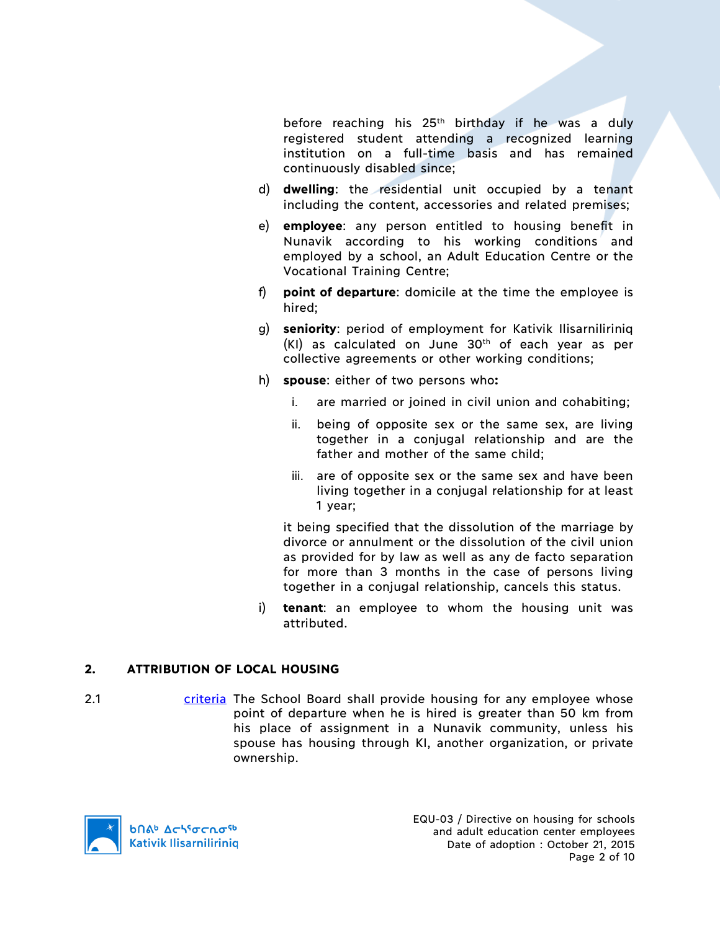before reaching his  $25<sup>th</sup>$  birthday if he was a duly registered student attending a recognized learning institution on a full-time basis and has remained continuously disabled since;

- d) **dwelling**: the residential unit occupied by a tenant including the content, accessories and related premises;
- e) **employee**: any person entitled to housing benefit in Nunavik according to his working conditions and employed by a school, an Adult Education Centre or the Vocational Training Centre;
- f) **point of departure**: domicile at the time the employee is hired;
- g) **seniority**: period of employment for Kativik Ilisarniliriniq  $(KI)$  as calculated on June 30<sup>th</sup> of each year as per collective agreements or other working conditions;
- h) **spouse**: either of two persons who**:**
	- i. are married or joined in civil union and cohabiting;
	- ii. being of opposite sex or the same sex, are living together in a conjugal relationship and are the father and mother of the same child;
	- iii. are of opposite sex or the same sex and have been living together in a conjugal relationship for at least 1 year;

it being specified that the dissolution of the marriage by divorce or annulment or the dissolution of the civil union as provided for by law as well as any de facto separation for more than 3 months in the case of persons living together in a conjugal relationship, cancels this status.

i) **tenant**: an employee to whom the housing unit was attributed.

# **2. ATTRIBUTION OF LOCAL HOUSING**

2.1 criteria The School Board shall provide housing for any employee whose point of departure when he is hired is greater than 50 km from his place of assignment in a Nunavik community, unless his spouse has housing through KI, another organization, or private ownership.

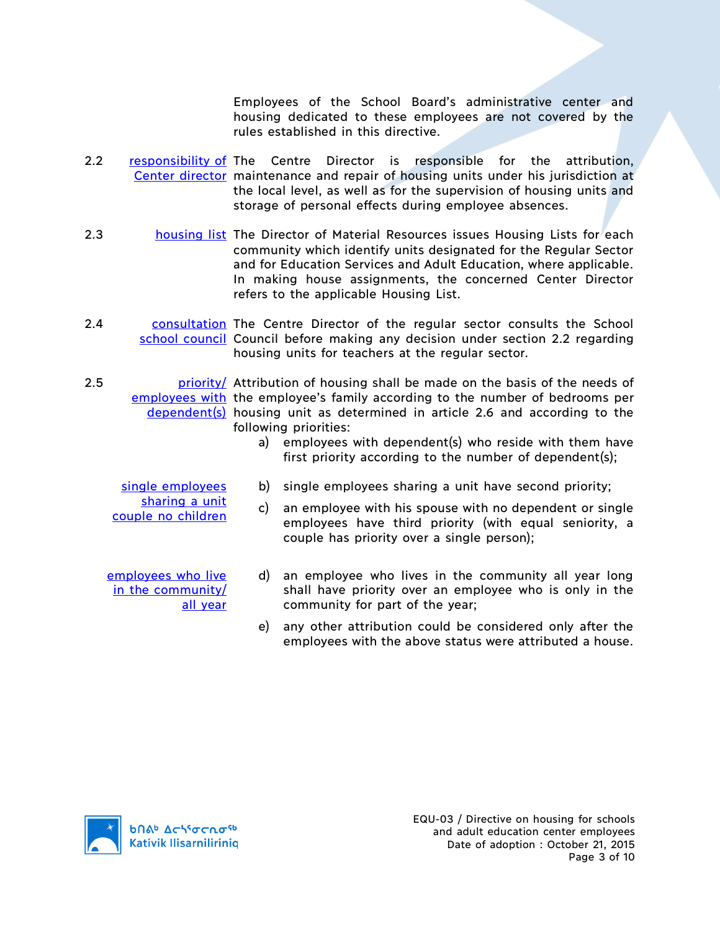Employees of the School Board's administrative center and housing dedicated to these employees are not covered by the rules established in this directive.

- 2.2 **responsibility of** The Centre Director is responsible for the attribution, Center director maintenance and repair of housing units under his jurisdiction at the local level, as well as for the supervision of housing units and storage of personal effects during employee absences.
- 2.3 housing list The Director of Material Resources issues Housing Lists for each community which identify units designated for the Regular Sector and for Education Services and Adult Education, where applicable. In making house assignments, the concerned Center Director refers to the applicable Housing List.
- 2.4 consultation The Centre Director of the regular sector consults the School school council Council before making any decision under section 2.2 regarding housing units for teachers at the regular sector.
- 2.5 **priority** estribution of housing shall be made on the basis of the needs of employees with the employee's family according to the number of bedrooms per dependent(s) housing unit as determined in article 2.6 and according to the following priorities:
	- a) employees with dependent(s) who reside with them have first priority according to the number of dependent(s);

c) an employee with his spouse with no dependent or single

b) single employees sharing a unit have second priority;

single employees sharing a unit couple no children

- employees have third priority (with equal seniority, a couple has priority over a single person);
- employees who live in the community/ all year
	- d) an employee who lives in the community all year long shall have priority over an employee who is only in the community for part of the year;
	- e) any other attribution could be considered only after the employees with the above status were attributed a house.

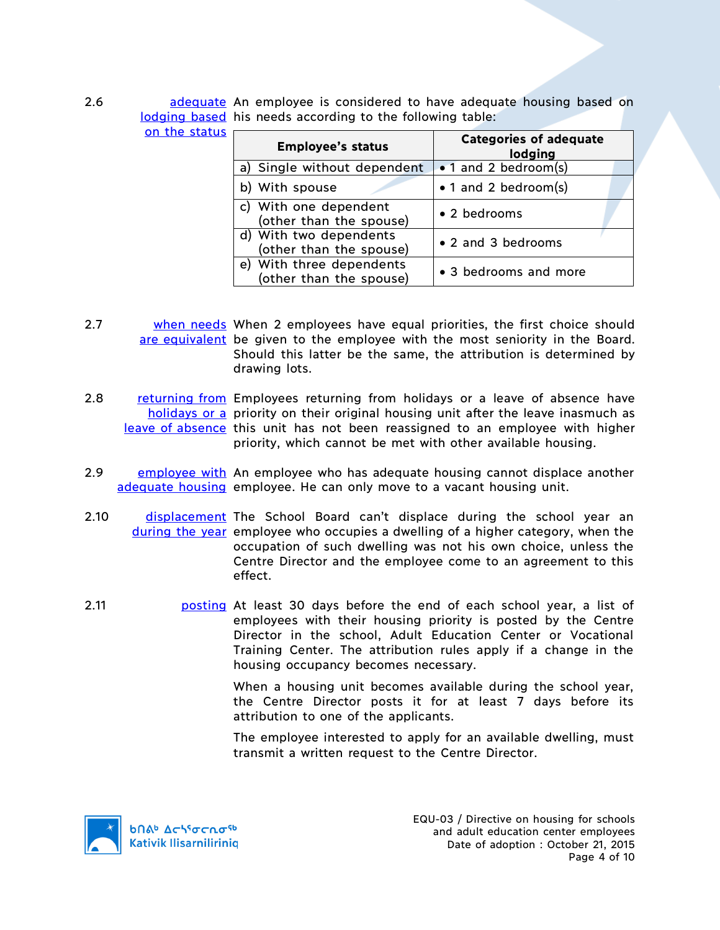| 2.6 |                      | adequate An employee is considered to have adequate housing based on |  |  |  |
|-----|----------------------|----------------------------------------------------------------------|--|--|--|
|     |                      | lodging based his needs according to the following table:            |  |  |  |
|     | on the status $\Box$ |                                                                      |  |  |  |

| <b>Employee's status</b>                            | <b>Categories of adequate</b><br>lodging |
|-----------------------------------------------------|------------------------------------------|
| a) Single without dependent                         | $\bullet$ 1 and 2 bedroom(s)             |
| b) With spouse                                      | • 1 and 2 bedroom(s)                     |
| c) With one dependent<br>(other than the spouse)    | • 2 bedrooms                             |
| d) With two dependents<br>(other than the spouse)   | • 2 and 3 bedrooms                       |
| e) With three dependents<br>(other than the spouse) | • 3 bedrooms and more                    |

- 2.7 both when needs When 2 employees have equal priorities, the first choice should are equivalent be given to the employee with the most seniority in the Board. Should this latter be the same, the attribution is determined by drawing lots.
- 2.8 returning from Employees returning from holidays or a leave of absence have holidays or a priority on their original housing unit after the leave inasmuch as leave of absence this unit has not been reassigned to an employee with higher priority, which cannot be met with other available housing.
- 2.9 employee with An employee who has adequate housing cannot displace another adequate housing employee. He can only move to a vacant housing unit.
- 2.10 **displacement** The School Board can't displace during the school year an during the year employee who occupies a dwelling of a higher category, when the occupation of such dwelling was not his own choice, unless the Centre Director and the employee come to an agreement to this effect.
- 2.11 **posting At least 30 days before the end of each school year, a list of** employees with their housing priority is posted by the Centre Director in the school, Adult Education Center or Vocational Training Center. The attribution rules apply if a change in the housing occupancy becomes necessary.

When a housing unit becomes available during the school year, the Centre Director posts it for at least 7 days before its attribution to one of the applicants.

The employee interested to apply for an available dwelling, must transmit a written request to the Centre Director.

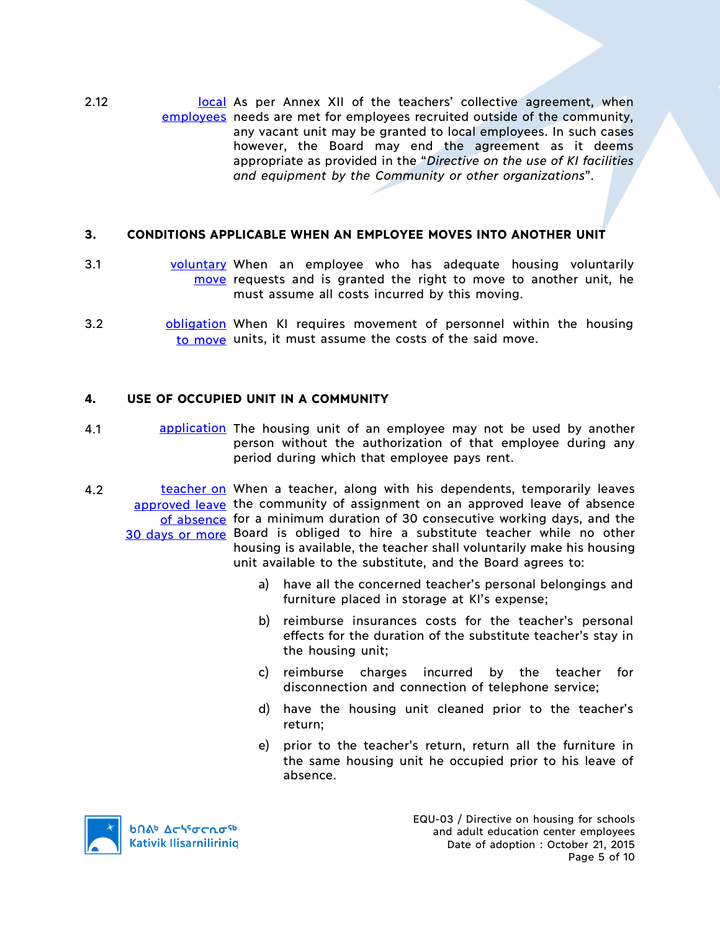2.12 **Local As per Annex XII of the teachers' collective agreement, when** employees needs are met for employees recruited outside of the community, any vacant unit may be granted to local employees. In such cases however, the Board may end the agreement as it deems appropriate as provided in the "*Directive on the use of KI facilities and equipment by the Community or other organizations*".

# **3. CONDITIONS APPLICABLE WHEN AN EMPLOYEE MOVES INTO ANOTHER UNIT**

- 3.1 voluntary When an employee who has adequate housing voluntarily move requests and is granted the right to move to another unit, he must assume all costs incurred by this moving.
- 3.2 **bligation** When KI requires movement of personnel within the housing to move units, it must assume the costs of the said move.

# **4. USE OF OCCUPIED UNIT IN A COMMUNITY**

- 4.1 **application** The housing unit of an employee may not be used by another person without the authorization of that employee during any period during which that employee pays rent.
- 4.2 **teacher on** When a teacher, along with his dependents, temporarily leaves approved leave the community of assignment on an approved leave of absence of absence for a minimum duration of 30 consecutive working days, and the 30 days or more Board is obliged to hire a substitute teacher while no other housing is available, the teacher shall voluntarily make his housing unit available to the substitute, and the Board agrees to:
	- a) have all the concerned teacher's personal belongings and furniture placed in storage at KI's expense;
	- b) reimburse insurances costs for the teacher's personal effects for the duration of the substitute teacher's stay in the housing unit;
	- c) reimburse charges incurred by the teacher for disconnection and connection of telephone service;
	- d) have the housing unit cleaned prior to the teacher's return;
	- e) prior to the teacher's return, return all the furniture in the same housing unit he occupied prior to his leave of absence.

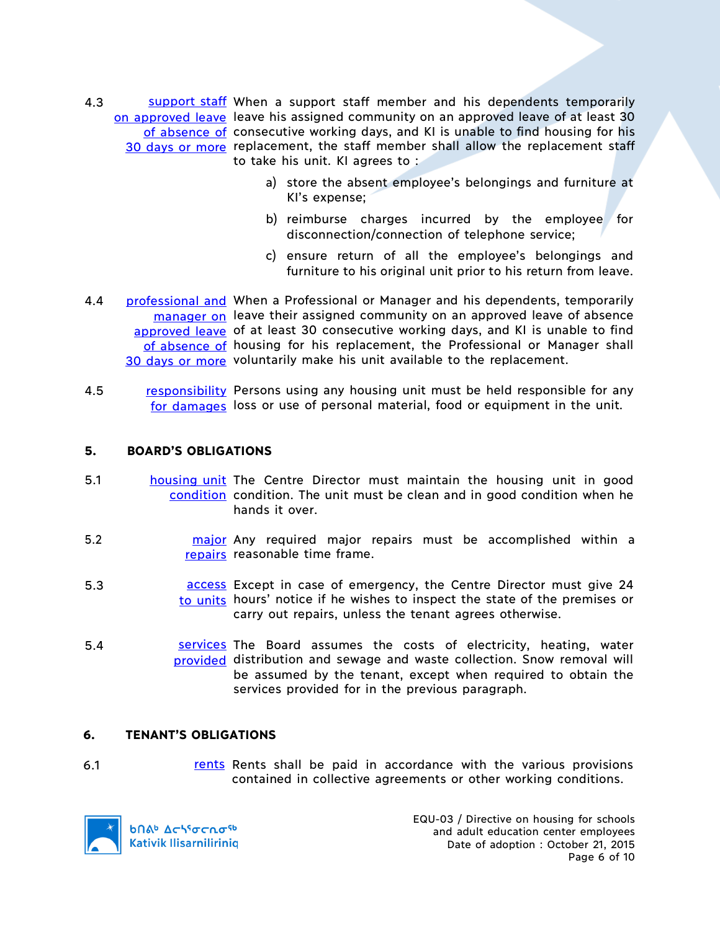- 4.3 Support staff When a support staff member and his dependents temporarily on approved leave leave his assigned community on an approved leave of at least 30 of absence of consecutive working days, and KI is unable to find housing for his 30 days or more replacement, the staff member shall allow the replacement staff to take his unit. KI agrees to :
	- a) store the absent employee's belongings and furniture at KI's expense;
	- b) reimburse charges incurred by the employee for disconnection/connection of telephone service;
	- c) ensure return of all the employee's belongings and furniture to his original unit prior to his return from leave.
- 4.4 **professional and** When a Professional or Manager and his dependents, temporarily manager on leave their assigned community on an approved leave of absence approved leave of at least 30 consecutive working days, and KI is unable to find of absence of housing for his replacement, the Professional or Manager shall 30 days or more voluntarily make his unit available to the replacement.
- 4.5 responsibility Persons using any housing unit must be held responsible for any for damages loss or use of personal material, food or equipment in the unit.

#### **5. BOARD'S OBLIGATIONS**

- 5.1 **housing unit** The Centre Director must maintain the housing unit in good condition condition. The unit must be clean and in good condition when he hands it over.
- 5.2 **major** Any required major repairs must be accomplished within a repairs reasonable time frame.
- 5.3 **access** Except in case of emergency, the Centre Director must give 24 to units hours' notice if he wishes to inspect the state of the premises or carry out repairs, unless the tenant agrees otherwise.
- 5.4 **Sale Services** The Board assumes the costs of electricity, heating, water provided distribution and sewage and waste collection. Snow removal will be assumed by the tenant, except when required to obtain the services provided for in the previous paragraph.

#### **6. TENANT'S OBLIGATIONS**

6.1 **rents Rents shall be paid in accordance with the various provisions** contained in collective agreements or other working conditions.



EQU-03 / Directive on housing for schools and adult education center employees Date of adoption : October 21, 2015 Page 6 of 10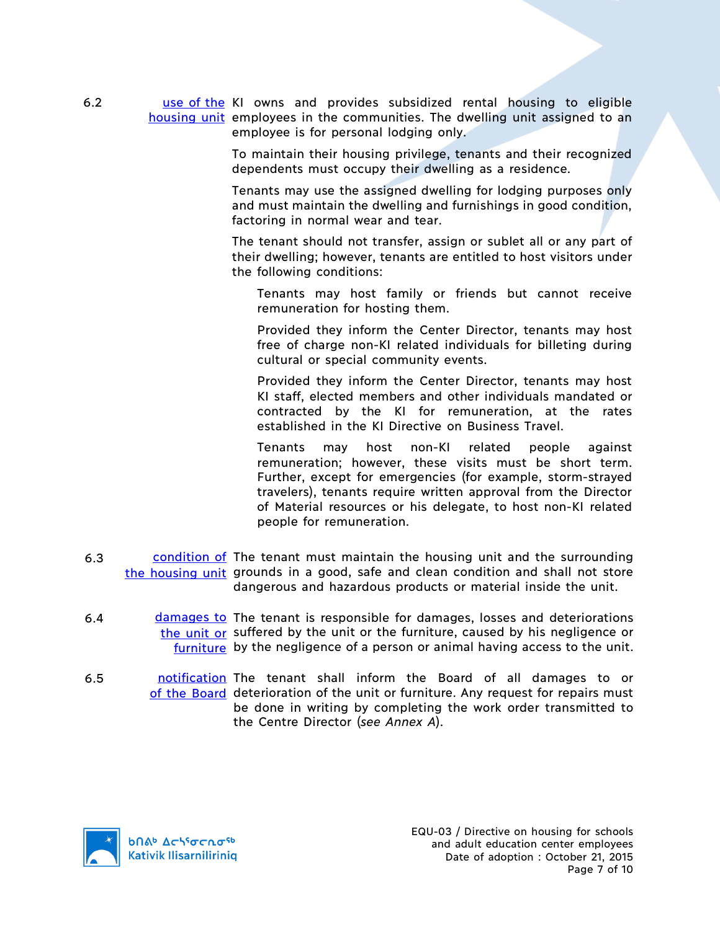6.2 as a use of the KI owns and provides subsidized rental housing to eligible housing unit employees in the communities. The dwelling unit assigned to an employee is for personal lodging only.

> To maintain their housing privilege, tenants and their recognized dependents must occupy their dwelling as a residence.

> Tenants may use the assigned dwelling for lodging purposes only and must maintain the dwelling and furnishings in good condition, factoring in normal wear and tear.

> The tenant should not transfer, assign or sublet all or any part of their dwelling; however, tenants are entitled to host visitors under the following conditions:

Tenants may host family or friends but cannot receive remuneration for hosting them.

Provided they inform the Center Director, tenants may host free of charge non-KI related individuals for billeting during cultural or special community events.

Provided they inform the Center Director, tenants may host KI staff, elected members and other individuals mandated or contracted by the KI for remuneration, at the rates established in the KI Directive on Business Travel.

Tenants may host non-KI related people against remuneration; however, these visits must be short term. Further, except for emergencies (for example, storm-strayed travelers), tenants require written approval from the Director of Material resources or his delegate, to host non-KI related people for remuneration.

- 6.3 condition of The tenant must maintain the housing unit and the surrounding the housing unit grounds in a good, safe and clean condition and shall not store dangerous and hazardous products or material inside the unit.
- 6.4 damages to The tenant is responsible for damages, losses and deteriorations the unit or suffered by the unit or the furniture, caused by his negligence or furniture by the negligence of a person or animal having access to the unit.
- 6.5 **notification** The tenant shall inform the Board of all damages to or of the Board deterioration of the unit or furniture. Any request for repairs must be done in writing by completing the work order transmitted to the Centre Director (*see Annex A*).

**b**nab Achiocnosb **Kativik Ilisarniliriniq**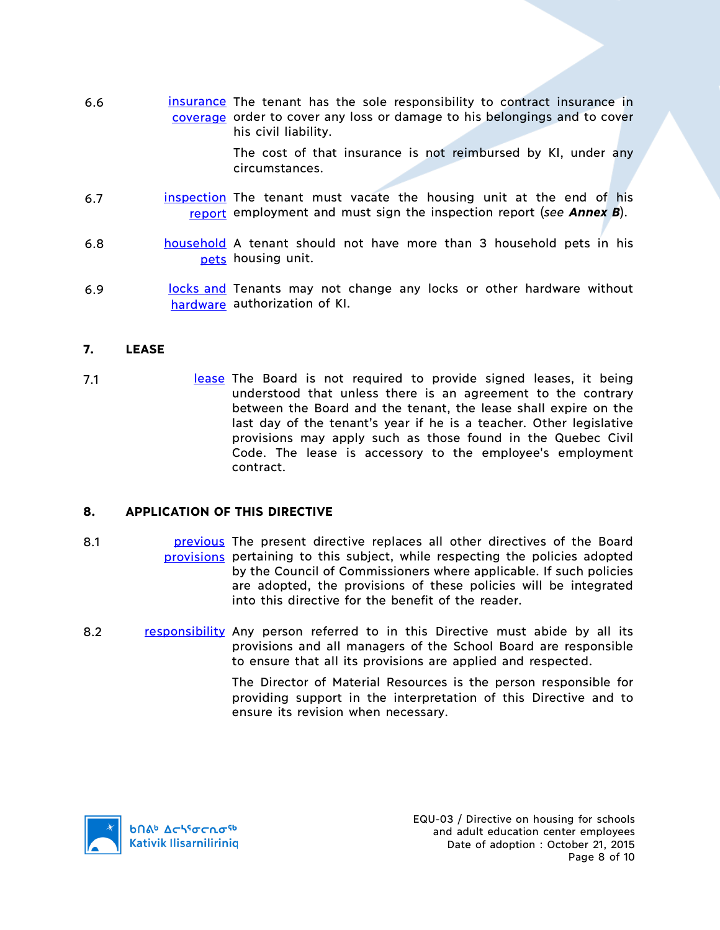6.6 **insurance** The tenant has the sole responsibility to contract insurance in coverage order to cover any loss or damage to his belongings and to cover his civil liability.

> The cost of that insurance is not reimbursed by KI, under any circumstances.

- 6.7 **inspection** The tenant must vacate the housing unit at the end of his report employment and must sign the inspection report (*see Annex B*).
- 6.8 household A tenant should not have more than 3 household pets in his pets housing unit.
- 6.9 **locks and Tenants may not change any locks or other hardware without** hardware authorization of KI.

### **7. LEASE**

7.1 **In the Board is not required to provide signed leases, it being** understood that unless there is an agreement to the contrary between the Board and the tenant, the lease shall expire on the last day of the tenant's year if he is a teacher. Other legislative provisions may apply such as those found in the Quebec Civil Code. The lease is accessory to the employee's employment contract.

#### **8. APPLICATION OF THIS DIRECTIVE**

- 8.1 **previous** The present directive replaces all other directives of the Board provisions pertaining to this subject, while respecting the policies adopted by the Council of Commissioners where applicable. If such policies are adopted, the provisions of these policies will be integrated into this directive for the benefit of the reader.
- 8.2 responsibility Any person referred to in this Directive must abide by all its provisions and all managers of the School Board are responsible to ensure that all its provisions are applied and respected.

The Director of Material Resources is the person responsible for providing support in the interpretation of this Directive and to ensure its revision when necessary.

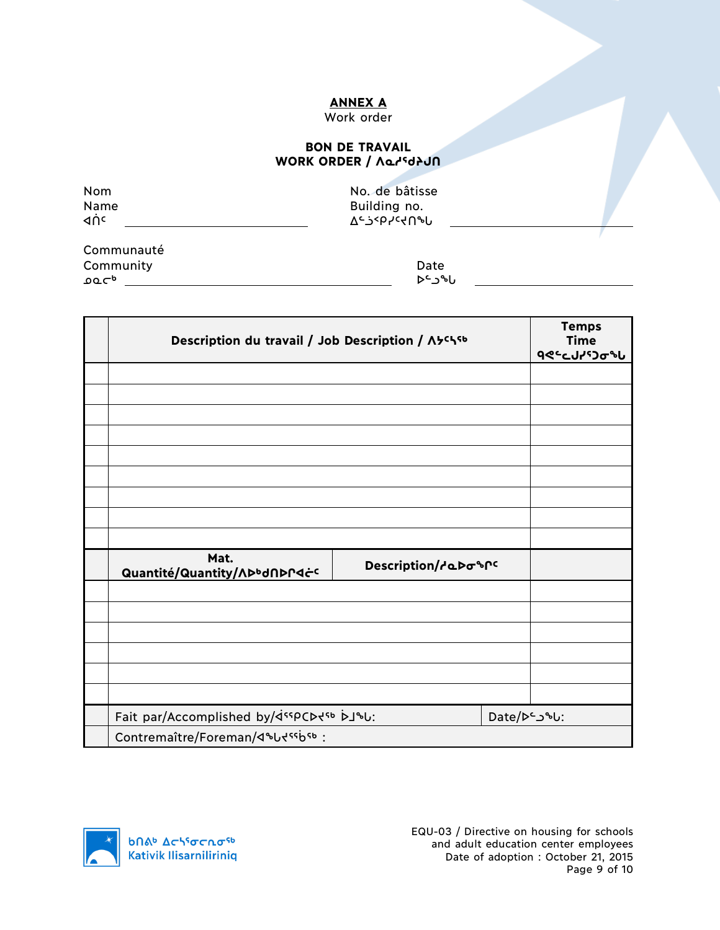# **ANNEX A**

# Work order

#### **BON DE TRAVAIL** WORK ORDER / *Norkin*

| Nom<br>Name<br>⊲ņc | No. de bâtisse<br>Building no.<br><u>ገ<sub>ሩ</sub>ን&lt;</u> bኣራሩሀჅቦ |  |
|--------------------|---------------------------------------------------------------------|--|
| Communauté         |                                                                     |  |

**Community** Date Date ᓄᓇᓕᒃ ᐅᓪᓗᖓ

| Description du travail / Job Description / A5chsb                                                          |                     |              | <b>Temps</b><br><b>Time</b><br><b>٩</b> ٩٩ - ٩٩ - ٩٩ |
|------------------------------------------------------------------------------------------------------------|---------------------|--------------|------------------------------------------------------|
|                                                                                                            |                     |              |                                                      |
|                                                                                                            |                     |              |                                                      |
|                                                                                                            |                     |              |                                                      |
|                                                                                                            |                     |              |                                                      |
|                                                                                                            |                     |              |                                                      |
|                                                                                                            |                     |              |                                                      |
|                                                                                                            |                     |              |                                                      |
|                                                                                                            |                     |              |                                                      |
|                                                                                                            |                     |              |                                                      |
| Mat.<br>Quantité/Quantity/ADbdADPdċc                                                                       | Description/debospc |              |                                                      |
|                                                                                                            |                     |              |                                                      |
|                                                                                                            |                     |              |                                                      |
|                                                                                                            |                     |              |                                                      |
|                                                                                                            |                     |              |                                                      |
|                                                                                                            |                     |              |                                                      |
|                                                                                                            |                     |              |                                                      |
| Fait par/Accomplished by/ <ispcd<sb bj%u:<="" th=""><th></th><th>Date/De_J&amp;U:</th><th></th></ispcd<sb> |                     | Date/De_J&U: |                                                      |
| Contremaître/Foreman/4&Udssbsb:                                                                            |                     |              |                                                      |

**b**Πል<sup>b</sup> Δςιγσς πα<sup>ςb</sup> **Kativik Ilisarniliriniq**